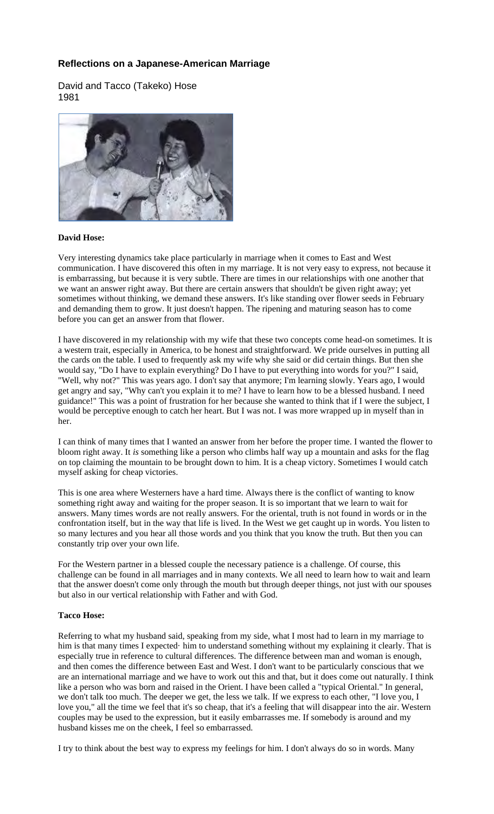## **Reflections on a Japanese-American Marriage**

David and Tacco (Takeko) Hose 1981



## **David Hose:**

Very interesting dynamics take place particularly in marriage when it comes to East and West communication. I have discovered this often in my marriage. It is not very easy to express, not because it is embarrassing, but because it is very subtle. There are times in our relationships with one another that we want an answer right away. But there are certain answers that shouldn't be given right away; yet sometimes without thinking, we demand these answers. It's like standing over flower seeds in February and demanding them to grow. It just doesn't happen. The ripening and maturing season has to come before you can get an answer from that flower.

I have discovered in my relationship with my wife that these two concepts come head-on sometimes. It is a western trait, especially in America, to be honest and straightforward. We pride ourselves in putting all the cards on the table. I used to frequently ask my wife why she said or did certain things. But then she would say, "Do I have to explain everything? Do I have to put everything into words for you?" I said, "Well, why not?" This was years ago. I don't say that anymore; I'm learning slowly. Years ago, I would get angry and say, "Why can't you explain it to me? I have to learn how to be a blessed husband. I need guidance!" This was a point of frustration for her because she wanted to think that if I were the subject, I would be perceptive enough to catch her heart. But I was not. I was more wrapped up in myself than in her.

I can think of many times that I wanted an answer from her before the proper time. I wanted the flower to bloom right away. It *is* something like a person who climbs half way up a mountain and asks for the flag on top claiming the mountain to be brought down to him. It is a cheap victory. Sometimes I would catch myself asking for cheap victories.

This is one area where Westerners have a hard time. Always there is the conflict of wanting to know something right away and waiting for the proper season. It is so important that we learn to wait for answers. Many times words are not really answers. For the oriental, truth is not found in words or in the confrontation itself, but in the way that life is lived. In the West we get caught up in words. You listen to so many lectures and you hear all those words and you think that you know the truth. But then you can constantly trip over your own life.

For the Western partner in a blessed couple the necessary patience is a challenge. Of course, this challenge can be found in all marriages and in many contexts. We all need to learn how to wait and learn that the answer doesn't come only through the mouth but through deeper things, not just with our spouses but also in our vertical relationship with Father and with God.

## **Tacco Hose:**

Referring to what my husband said, speaking from my side, what I most had to learn in my marriage to him is that many times I expected· him to understand something without my explaining it clearly. That is especially true in reference to cultural differences. The difference between man and woman is enough, and then comes the difference between East and West. I don't want to be particularly conscious that we are an international marriage and we have to work out this and that, but it does come out naturally. I think like a person who was born and raised in the Orient. I have been called a "typical Oriental." In general, we don't talk too much. The deeper we get, the less we talk. If we express to each other, "I love you, I love you," all the time we feel that it's so cheap, that it's a feeling that will disappear into the air. Western couples may be used to the expression, but it easily embarrasses me. If somebody is around and my husband kisses me on the cheek, I feel so embarrassed.

I try to think about the best way to express my feelings for him. I don't always do so in words. Many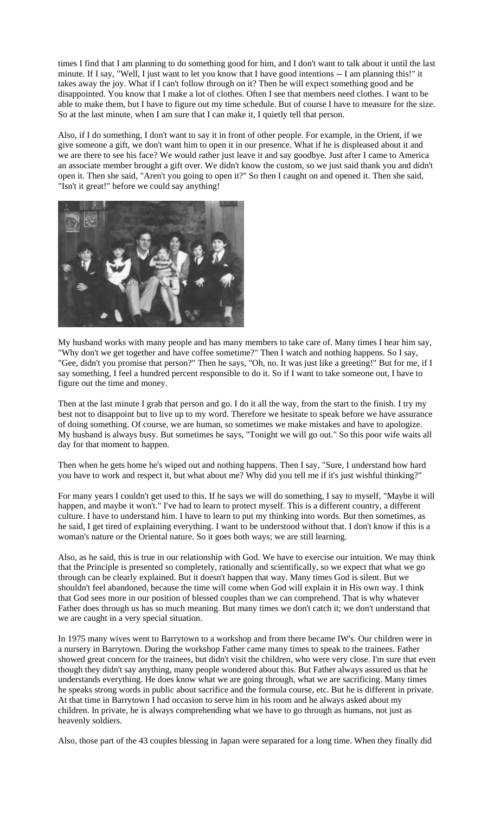times I find that I am planning to do something good for him, and I don't want to talk about it until the last minute. If I say, "Well, I just want to let you know that I have good intentions -- I am planning this!" it takes away the joy. What if I can't follow through on it? Then he will expect something good and be disappointed. You know that I make a lot of clothes. Often I see that members need clothes. I want to be able to make them, but I have to figure out my time schedule. But of course I have to measure for the size. So at the last minute, when I am sure that I can make it, I quietly tell that person.

Also, if I do something, I don't want to say it in front of other people. For example, in the Orient, if we give someone a gift, we don't want him to open it in our presence. What if he is displeased about it and we are there to see his face? We would rather just leave it and say goodbye. Just after I came to America an associate member brought a gift over. We didn't know the custom, so we just said thank you and didn't open it. Then she said, "Aren't you going to open it?" So then I caught on and opened it. Then she said, "Isn't it great!" before we could say anything!



My husband works with many people and has many members to take care of. Many times I hear him say, "Why don't we get together and have coffee sometime?" Then I watch and nothing happens. So I say, "Gee, didn't you promise that person?" Then he says, "Oh, no. It was just like a greeting!" But for me, if I say something, I feel a hundred percent responsible to do it. So if I want to take someone out, I have to figure out the time and money.

Then at the last minute I grab that person and go. I do it all the way, from the start to the finish. I try my best not to disappoint but to live up to my word. Therefore we hesitate to speak before we have assurance of doing something. Of course, we are human, so sometimes we make mistakes and have to apologize. My husband is always busy. But sometimes he says, "Tonight we will go out." So this poor wife waits all day for that moment to happen.

Then when he gets home he's wiped out and nothing happens. Then I say, "Sure, I understand how hard you have to work and respect it, but what about me? Why did you tell me if it's just wishful thinking?"

For many years I couldn't get used to this. If he says we will do something, I say to myself, "Maybe it will happen, and maybe it won't." I've had to learn to protect myself. This is a different country, a different culture. I have to understand him. I have to learn to put my thinking into words. But then sometimes, as he said, I get tired of explaining everything. I want to be understood without that. I don't know if this is a woman's nature or the Oriental nature. So it goes both ways; we are still learning.

Also, as he said, this is true in our relationship with God. We have to exercise our intuition. We may think that the Principle is presented so completely, rationally and scientifically, so we expect that what we go through can be clearly explained. But it doesn't happen that way. Many times God is silent. But we shouldn't feel abandoned, because the time will come when God will explain it in His own way. I think that God sees more in our position of blessed couples than we can comprehend. That is why whatever Father does through us has so much meaning. But many times we don't catch it; we don't understand that we are caught in a very special situation.

In 1975 many wives went to Barrytown to a workshop and from there became IW's. Our children were in a nursery in Barrytown. During the workshop Father came many times to speak to the trainees. Father showed great concern for the trainees, but didn't visit the children, who were very close. I'm sure that even though they didn't say anything, many people wondered about this. But Father always assured us that he understands everything. He does know what we are going through, what we are sacrificing. Many times he speaks strong words in public about sacrifice and the formula course, etc. But he is different in private. At that time in Barrytown I had occasion to serve him in his room and he always asked about my children. In private, he is always comprehending what we have to go through as humans, not just as heavenly soldiers.

Also, those part of the 43 couples blessing in Japan were separated for a long time. When they finally did